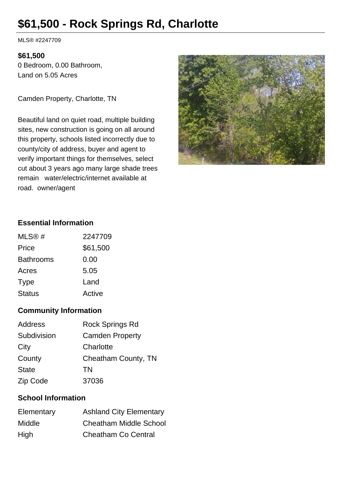# **\$61,500 - Rock Springs Rd, Charlotte**

MLS® #2247709

#### **\$61,500**

0 Bedroom, 0.00 Bathroom, Land on 5.05 Acres

Camden Property, Charlotte, TN

Beautiful land on quiet road, multiple building sites, new construction is going on all around this property, schools listed incorrectly due to county/city of address, buyer and agent to verify important things for themselves, select cut about 3 years ago many large shade trees remain water/electric/internet available at road. owner/agent



## **Essential Information**

| MLS@#            | 2247709  |
|------------------|----------|
| Price            | \$61,500 |
| <b>Bathrooms</b> | 0.00     |
| Acres            | 5.05     |
| <b>Type</b>      | Land     |
| <b>Status</b>    | Active   |

### **Community Information**

| Address      | <b>Rock Springs Rd</b> |
|--------------|------------------------|
| Subdivision  | <b>Camden Property</b> |
| City         | Charlotte              |
| County       | Cheatham County, TN    |
| <b>State</b> | TN                     |
| Zip Code     | 37036                  |

### **School Information**

| Elementary    | <b>Ashland City Elementary</b> |
|---------------|--------------------------------|
| <b>Middle</b> | <b>Cheatham Middle School</b>  |
| High          | <b>Cheatham Co Central</b>     |